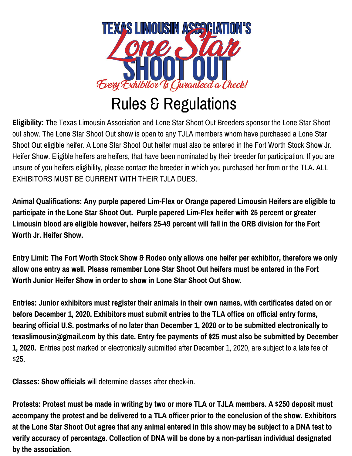

## Rules & Regulations

**Eligibility: T**he Texas Limousin Association and Lone Star Shoot Out Breeders sponsor the Lone Star Shoot out show. The Lone Star Shoot Out show is open to any TJLA members whom have purchased a Lone Star Shoot Out eligible heifer. A Lone Star Shoot Out heifer must also be entered in the Fort Worth Stock Show Jr. Heifer Show. Eligible heifers are heifers, that have been nominated by their breeder for participation. If you are unsure of you heifers eligibility, please contact the breeder in which you purchased her from or the TLA. ALL EXHIBITORS MUST BE CURRENT WITH THEIR TJLA DUES.

**Animal Qualifications: Any purple papered Lim-Flex or Orange papered Limousin Heifers are eligible to participate in the Lone Star Shoot Out. Purple papered Lim-Flex heifer with 25 percent or greater Limousin blood are eligible however, heifers 25-49 percent will fall in the ORB division for the Fort Worth Jr. Heifer Show.**

Entry Limit: The Fort Worth Stock Show & Rodeo only allows one heifer per exhibitor, therefore we only **allow one entry as well. Please remember Lone Star Shoot Out heifers must be entered in the Fort Worth Junior Heifer Show in order to show in Lone Star Shoot Out Show.**

**Entries: Junior exhibitors must register their animals in their own names, with certificates dated on or before December 1, 2020. Exhibitors must submit entries to the TLA office on official entry forms, bearing official U.S. postmarks of no later than December 1, 2020 or to be submitted electronically to texaslimousin@gmail.com by this date. Entry fee payments of \$25 must also be submitted by December 1, 2020. E**ntries post marked or electronically submitted after December 1, 2020, are subject to a late fee of \$25.

**Classes: Show officials** will determine classes after check-in.

Protests: Protest must be made in writing by two or more TLA or TJLA members. A \$250 deposit must accompany the protest and be delivered to a TLA officer prior to the conclusion of the show. Exhibitors at the Lone Star Shoot Out agree that any animal entered in this show may be subject to a DNA test to **verify accuracy of percentage. Collection of DNA will be done by a non-partisan individual designated by the association.**